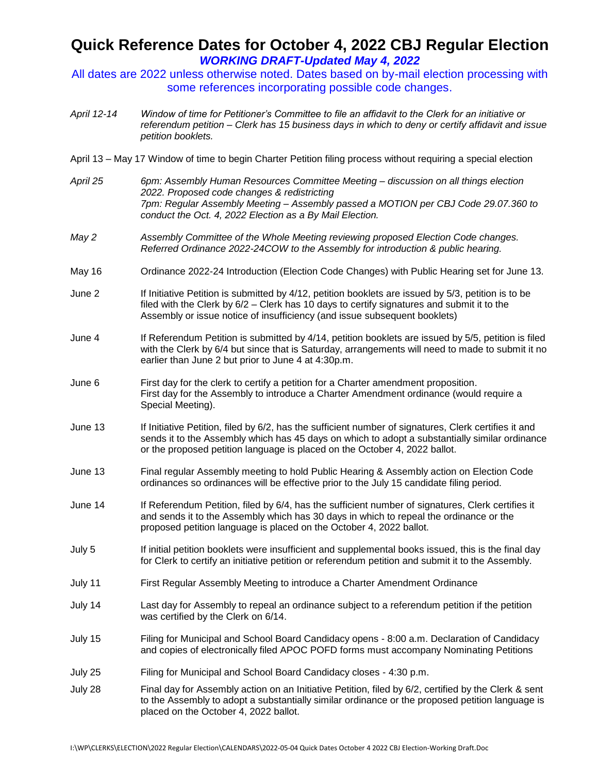## **Quick Reference Dates for October 4, 2022 CBJ Regular Election**  *WORKING DRAFT-Updated May 4, 2022*

- All dates are 2022 unless otherwise noted. Dates based on by-mail election processing with some references incorporating possible code changes.
- *April 12-14 Window of time for Petitioner's Committee to file an affidavit to the Clerk for an initiative or referendum petition – Clerk has 15 business days in which to deny or certify affidavit and issue petition booklets.*
- April 13 May 17 Window of time to begin Charter Petition filing process without requiring a special election
- *April 25 6pm: Assembly Human Resources Committee Meeting – discussion on all things election 2022. Proposed code changes & redistricting 7pm: Regular Assembly Meeting – Assembly passed a MOTION per CBJ Code 29.07.360 to conduct the Oct. 4, 2022 Election as a By Mail Election.*
- *May 2 Assembly Committee of the Whole Meeting reviewing proposed Election Code changes. Referred Ordinance 2022-24COW to the Assembly for introduction & public hearing.*
- May 16 Ordinance 2022-24 Introduction (Election Code Changes) with Public Hearing set for June 13.
- June 2 If Initiative Petition is submitted by 4/12, petition booklets are issued by 5/3, petition is to be filed with the Clerk by 6/2 – Clerk has 10 days to certify signatures and submit it to the Assembly or issue notice of insufficiency (and issue subsequent booklets)
- June 4 If Referendum Petition is submitted by 4/14, petition booklets are issued by 5/5, petition is filed with the Clerk by 6/4 but since that is Saturday, arrangements will need to made to submit it no earlier than June 2 but prior to June 4 at 4:30p.m.
- June 6 First day for the clerk to certify a petition for a Charter amendment proposition. First day for the Assembly to introduce a Charter Amendment ordinance (would require a Special Meeting).
- June 13 If Initiative Petition, filed by 6/2, has the sufficient number of signatures, Clerk certifies it and sends it to the Assembly which has 45 days on which to adopt a substantially similar ordinance or the proposed petition language is placed on the October 4, 2022 ballot.
- June 13 Final regular Assembly meeting to hold Public Hearing & Assembly action on Election Code ordinances so ordinances will be effective prior to the July 15 candidate filing period.
- June 14 If Referendum Petition, filed by 6/4, has the sufficient number of signatures, Clerk certifies it and sends it to the Assembly which has 30 days in which to repeal the ordinance or the proposed petition language is placed on the October 4, 2022 ballot.
- July 5 If initial petition booklets were insufficient and supplemental books issued, this is the final day for Clerk to certify an initiative petition or referendum petition and submit it to the Assembly.
- July 11 First Regular Assembly Meeting to introduce a Charter Amendment Ordinance
- July 14 Last day for Assembly to repeal an ordinance subject to a referendum petition if the petition was certified by the Clerk on 6/14.
- July 15 Filing for Municipal and School Board Candidacy opens 8:00 a.m. Declaration of Candidacy and copies of electronically filed APOC POFD forms must accompany Nominating Petitions
- July 25 Filing for Municipal and School Board Candidacy closes 4:30 p.m.
- July 28 Final day for Assembly action on an Initiative Petition, filed by 6/2, certified by the Clerk & sent to the Assembly to adopt a substantially similar ordinance or the proposed petition language is placed on the October 4, 2022 ballot.